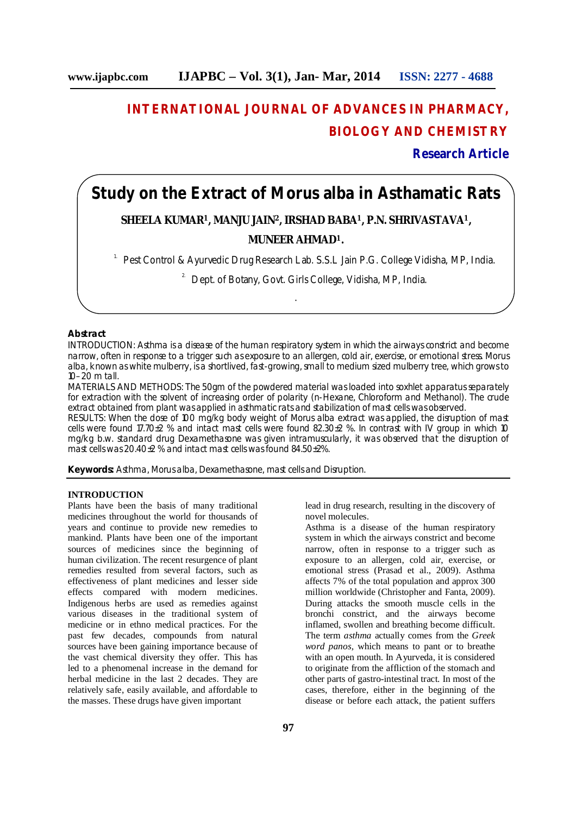# **INTERNATIONAL JOURNAL OF ADVANCES IN PHARMACY, BIOLOGY AND CHEMISTRY**

**Research Article**

### **Study on the Extract of Morus alba in Asthamatic Rats**

## **SHEELA KUMAR<sup>1</sup>, MANJU JAIN<sup>2</sup>, IRSHAD BABA<sup>1</sup>, P.N. SHRIVASTAVA<sup>1</sup>,**

### **MUNEER AHMAD1.**

.

<sup>1.</sup> Pest Control & Ayurvedic Drug Research Lab. S.S.L Jain P.G. College Vidisha, MP, India.

<sup>2</sup> Dept. of Botany, Govt. Girls College, Vidisha, MP, India.

#### **Abstract**

INTRODUCTION: Asthma is a disease of the human respiratory system in which the airways constrict and become narrow, often in response to a trigger such as exposure to an allergen, cold air, exercise, or emotional stress. *Morus alba,* known as white mulberry, is a shortlived, fast-growing, small to medium sized mulberry tree, which grows to 10–20 m tall.

MATERIALS AND METHODS: The 50gm of the powdered material was loaded into soxhlet apparatus separately for extraction with the solvent of increasing order of polarity (n-Hexane, Chloroform and Methanol). The crude extract obtained from plant was applied in asthmatic rats and stabilization of mast cells was observed.

RESULTS: When the dose of 100 mg/kg body weight of Morus alba extract was applied, the disruption of mast cells were found 17.70±2 % and intact mast cells were found 82.30±2 %. In contrast with IV group in which 10 mg/kg b.w. standard drug Dexamethasone was given intramuscularly, it was observed that the disruption of mast cells was 20.40±2 % and intact mast cells was found 84.50±2%.

**Keywords:** Asthma, *Morus alba,* Dexamethasone, mast cells and Disruption.

#### **INTRODUCTION**

Plants have been the basis of many traditional medicines throughout the world for thousands of years and continue to provide new remedies to mankind. Plants have been one of the important sources of medicines since the beginning of human civilization. The recent resurgence of plant remedies resulted from several factors, such as effectiveness of plant medicines and lesser side effects compared with modern medicines. Indigenous herbs are used as remedies against various diseases in the traditional system of medicine or in ethno medical practices. For the past few decades, compounds from natural sources have been gaining importance because of the vast chemical diversity they offer. This has led to a phenomenal increase in the demand for herbal medicine in the last 2 decades. They are relatively safe, easily available, and affordable to the masses. These drugs have given important

lead in drug research, resulting in the discovery of novel molecules.

Asthma is a disease of the human respiratory system in which the airways constrict and become narrow, often in response to a trigger such as exposure to an allergen, cold air, exercise, or emotional stress (Prasad et al., 2009). Asthma affects 7% of the total population and approx 300 million worldwide (Christopher and Fanta, 2009). During attacks the smooth muscle cells in the bronchi constrict, and the airways become inflamed, swollen and breathing become difficult. The term *asthma* actually comes from the *Greek word panos,* which means to pant or to breathe with an open mouth. In Ayurveda, it is considered to originate from the affliction of the stomach and other parts of gastro-intestinal tract. In most of the cases, therefore, either in the beginning of the disease or before each attack, the patient suffers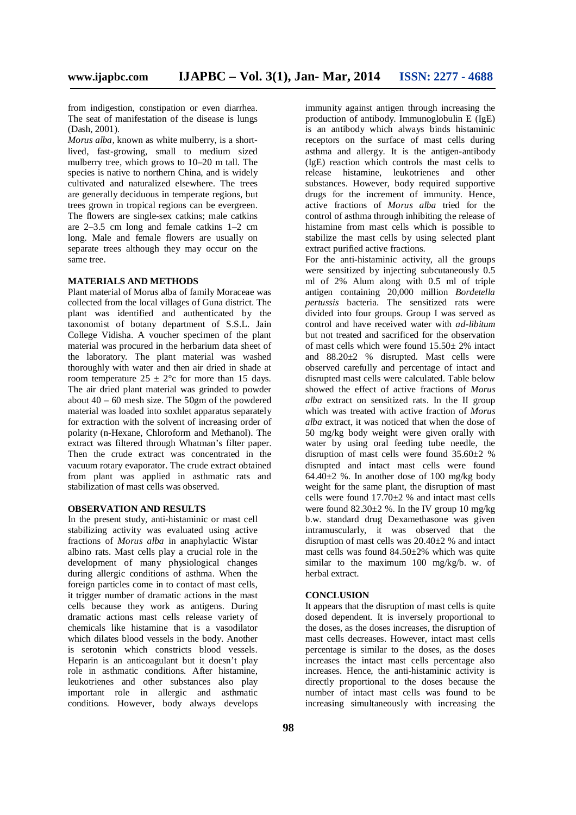from indigestion, constipation or even diarrhea. The seat of manifestation of the disease is lungs (Dash, 2001).

*Morus alba,* known as white mulberry, is a shortlived, fast-growing, small to medium sized mulberry tree, which grows to 10–20 m tall. The species is native to northern China, and is widely cultivated and naturalized elsewhere. The trees are generally deciduous in temperate regions, but trees grown in tropical regions can be evergreen. The flowers are single-sex catkins; male catkins are 2–3.5 cm long and female catkins 1–2 cm long. Male and female flowers are usually on separate trees although they may occur on the same tree.

#### **MATERIALS AND METHODS**

Plant material of Morus alba of family Moraceae was collected from the local villages of Guna district. The plant was identified and authenticated by the taxonomist of botany department of S.S.L. Jain College Vidisha. A voucher specimen of the plant material was procured in the herbarium data sheet of the laboratory. The plant material was washed thoroughly with water and then air dried in shade at room temperature  $25 \pm 2^{\circ}$ c for more than 15 days. The air dried plant material was grinded to powder about  $40 - 60$  mesh size. The 50gm of the powdered material was loaded into soxhlet apparatus separately for extraction with the solvent of increasing order of polarity (n-Hexane, Chloroform and Methanol). The extract was filtered through Whatman's filter paper. Then the crude extract was concentrated in the vacuum rotary evaporator. The crude extract obtained from plant was applied in asthmatic rats and stabilization of mast cells was observed.

#### **OBSERVATION AND RESULTS**

In the present study, anti-histaminic or mast cell stabilizing activity was evaluated using active fractions of *Morus alba* in anaphylactic Wistar albino rats. Mast cells play a crucial role in the development of many physiological changes during allergic conditions of asthma. When the foreign particles come in to contact of mast cells, it trigger number of dramatic actions in the mast cells because they work as antigens. During dramatic actions mast cells release variety of chemicals like histamine that is a vasodilator which dilates blood vessels in the body. Another is serotonin which constricts blood vessels. Heparin is an anticoagulant but it doesn't play role in asthmatic conditions. After histamine, leukotrienes and other substances also play important role in allergic and asthmatic conditions. However, body always develops

immunity against antigen through increasing the production of antibody. Immunoglobulin E (IgE) is an antibody which always binds histaminic receptors on the surface of mast cells during asthma and allergy. It is the antigen-antibody (IgE) reaction which controls the mast cells to release histamine, leukotrienes and other substances. However, body required supportive drugs for the increment of immunity. Hence, active fractions of *Morus alba* tried for the control of asthma through inhibiting the release of histamine from mast cells which is possible to stabilize the mast cells by using selected plant extract purified active fractions.

For the anti-histaminic activity, all the groups were sensitized by injecting subcutaneously 0.5 ml of 2% Alum along with 0.5 ml of triple antigen containing 20,000 million *Bordetella pertussis* bacteria. The sensitized rats were divided into four groups. Group I was served as control and have received water with *ad-libitum*  but not treated and sacrificed for the observation of mast cells which were found  $15.50 \pm 2\%$  intact and  $88.20 \pm 2$  % disrupted. Mast cells were observed carefully and percentage of intact and disrupted mast cells were calculated. Table below showed the effect of active fractions of *Morus alba* extract on sensitized rats. In the II group which was treated with active fraction of *Morus alba* extract, it was noticed that when the dose of 50 mg/kg body weight were given orally with water by using oral feeding tube needle, the disruption of mast cells were found 35.60±2 % disrupted and intact mast cells were found 64.40 $\pm$ 2 %. In another dose of 100 mg/kg body weight for the same plant, the disruption of mast cells were found  $17.70 \pm 2$  % and intact mast cells were found  $82.30\pm2$  %. In the IV group 10 mg/kg b.w. standard drug Dexamethasone was given intramuscularly, it was observed that the disruption of mast cells was  $20.40\pm2$  % and intact mast cells was found 84.50±2% which was quite similar to the maximum 100 mg/kg/b. w. of herbal extract.

#### **CONCLUSION**

It appears that the disruption of mast cells is quite dosed dependent. It is inversely proportional to the doses, as the doses increases, the disruption of mast cells decreases. However, intact mast cells percentage is similar to the doses, as the doses increases the intact mast cells percentage also increases. Hence, the anti-histaminic activity is directly proportional to the doses because the number of intact mast cells was found to be increasing simultaneously with increasing the